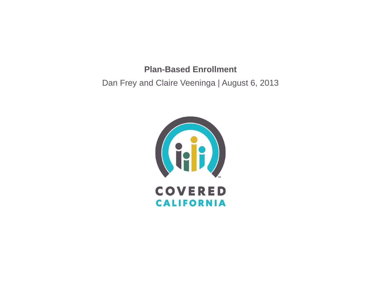#### **Plan-Based Enrollment**

Dan Frey and Claire Veeninga | August 6, 2013

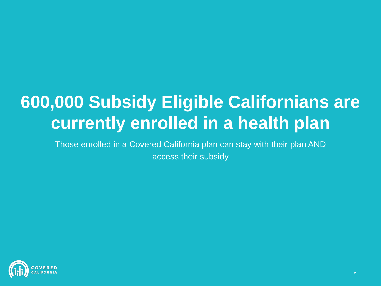# **600,000 Subsidy Eligible Californians are currently enrolled in a health plan**

Those enrolled in a Covered California plan can stay with their plan AND access their subsidy

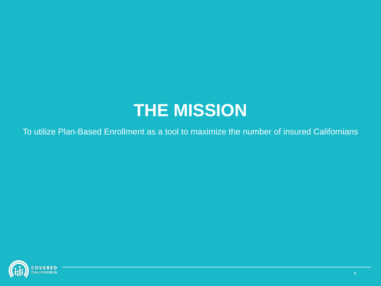## **THE MISSION**

To utilize Plan-Based Enrollment as a tool to maximize the number of insured Californians

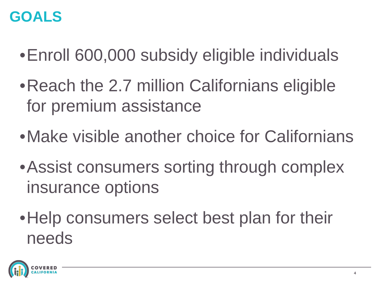#### **GOALS**

- •Enroll 600,000 subsidy eligible individuals
- Reach the 2.7 million Californians eligible for premium assistance
- •Make visible another choice for Californians
- •Assist consumers sorting through complex insurance options
- Help consumers select best plan for their needs

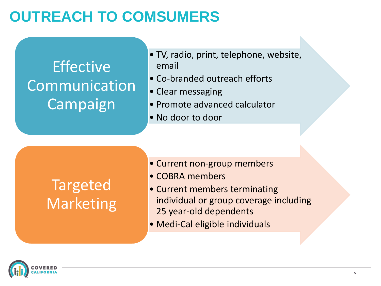## **OUTREACH TO COMSUMERS**

## Effective Communication Campaign

- TV, radio, print, telephone, website, email
- Co-branded outreach efforts
- Clear messaging
- Promote advanced calculator
- No door to door

## Targeted Marketing

- Current non-group members
- COBRA members
- Current members terminating individual or group coverage including 25 year-old dependents
- Medi-Cal eligible individuals

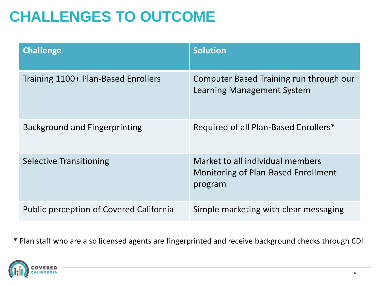## **CHALLENGES TO OUTCOME**

| <b>Challenge</b>                               | <b>Solution</b>                                                                    |
|------------------------------------------------|------------------------------------------------------------------------------------|
| Training 1100+ Plan-Based Enrollers            | Computer Based Training run through our<br>Learning Management System              |
| <b>Background and Fingerprinting</b>           | Required of all Plan-Based Enrollers*                                              |
| <b>Selective Transitioning</b>                 | Market to all individual members<br>Monitoring of Plan-Based Enrollment<br>program |
| <b>Public perception of Covered California</b> | Simple marketing with clear messaging                                              |

\* Plan staff who are also licensed agents are fingerprinted and receive background checks through CDI

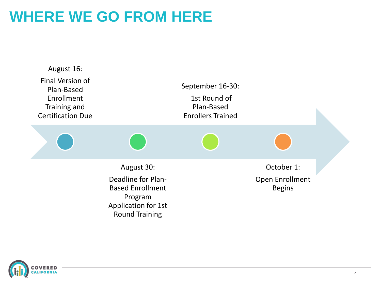## **WHERE WE GO FROM HERE**